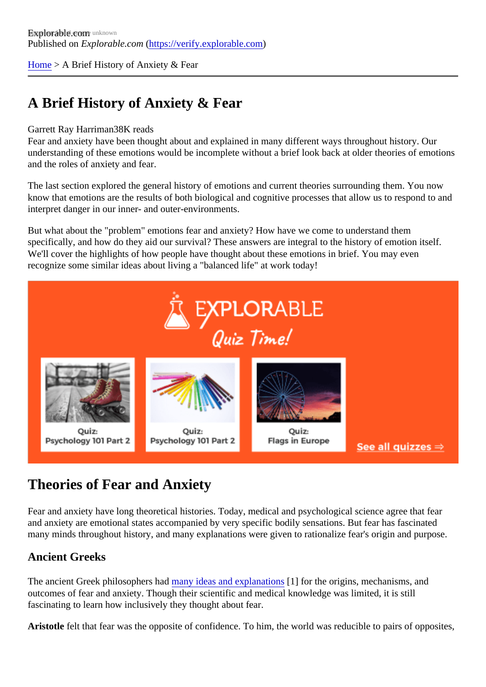[Home](https://verify.explorable.com/) > A Brief History of Anxiety & Fear

# A Brief History of Anxiety & Fear

#### Garrett Ray Harrima88K reads

Fear and anxiety have been thought about and explained in many different ways throughout history. Our understanding of these emotions would be incomplete without a brief look back at older theories of emotio and the roles of anxiety and fear.

The last section explored the general history of emotions and current theories surrounding them. You now know that emotions are the results of both biological and cognitive processes that allow us to respond to a interpret danger in our inner- and outer-environments.

But what about the "problem" emotions fear and anxiety? How have we come to understand them specifically, and how do they aid our survival? These answers are integral to the history of emotion itself. We'll cover the highlights of how people have thought about these emotions in brief. You may even recognize some similar ideas about living a "balanced life" at work today!

## Theories of Fear and Anxiety

Fear and anxiety have long theoretical histories. Today, medical and psychological science agree that fear and anxiety are emotional states accompanied by very specific bodily sensations. But fear has fascinated many minds throughout history, and many explanations were given to rationalize fear's origin and purpose.

### Ancient Greeks

The ancient Greek philosophers had ny ideas and explanations for the origins, mechanisms, and outcomes of fear and anxiety. Though their scientific and medical knowledge was limited, it is still fascinating to learn how inclusively they thought about fear.

Aristotle felt that fear was the opposite of confidence. To him, the world was reducible to pairs of opposite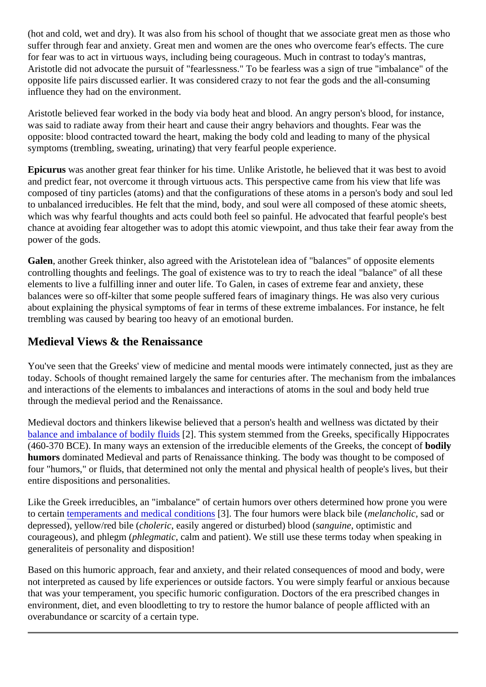(hot and cold, wet and dry). It was also from his school of thought that we associate great men as those w suffer through fear and anxiety. Great men and women are the ones who overcome fear's effects. The cur for fear was to act in virtuous ways, including being courageous. Much in contrast to today's mantras, Aristotle did not advocate the pursuit of "fearlessness." To be fearless was a sign of true "imbalance" of th opposite life pairs discussed earlier. It was considered crazy to not fear the gods and the all-consuming influence they had on the environment.

Aristotle believed fear worked in the body via body heat and blood. An angry person's blood, for instance, was said to radiate away from their heart and cause their angry behaviors and thoughts. Fear was the opposite: blood contracted toward the heart, making the body cold and leading to many of the physical symptoms (trembling, sweating, urinating) that very fearful people experience.

Epicurus was another great fear thinker for his time. Unlike Aristotle, he believed that it was best to avoid and predict fear, not overcome it through virtuous acts. This perspective came from his view that life was composed of tiny particles (atoms) and that the configurations of these atoms in a person's body and soul to unbalanced irreducibles. He felt that the mind, body, and soul were all composed of these atomic sheet which was why fearful thoughts and acts could both feel so painful. He advocated that fearful people's best chance at avoiding fear altogether was to adopt this atomic viewpoint, and thus take their fear away from the power of the gods.

Galen, another Greek thinker, also agreed with the Aristotelean idea of "balances" of opposite elements controlling thoughts and feelings. The goal of existence was to try to reach the ideal "balance" of all these elements to live a fulfilling inner and outer life. To Galen, in cases of extreme fear and anxiety, these balances were so off-kilter that some people suffered fears of imaginary things. He was also very curious about explaining the physical symptoms of fear in terms of these extreme imbalances. For instance, he felt trembling was caused by bearing too heavy of an emotional burden.

#### Medieval Views & the Renaissance

You've seen that the Greeks' view of medicine and mental moods were intimately connected, just as they today. Schools of thought remained largely the same for centuries after. The mechanism from the imbalan and interactions of the elements to imbalances and interactions of atoms in the soul and body held true through the medieval period and the Renaissance.

Medieval doctors and thinkers likewise believed that a person's health and wellness was dictated by their [balance and imbalance of bodily flu](http://ocp.hul.harvard.edu/contagion/humoraltheory.html)it<sup>3</sup>. This system stemmed from the Greeks, specifically Hippocrates (460-370 BCE). In many ways an extension of the irreducible elements of the Greeks, the concept of humors dominated Medieval and parts of Renaissance thinking. The body was thought to be composed of four "humors," or fluids, that determined not only the mental and physical health of people's lives, but their entire dispositions and personalities.

Like the Greek irreducibles, an "imbalance" of certain humors over others determined how prone you were to certai[n temperaments and medical conditi](https://en.wikipedia.org/wiki/Humorism)ons The four humors were black bile (elancholic, sad or depressed), yellow/red bile foleric, easily angered or disturbed) blood manufaction and courageous), and phlegm h (egmatic calm and patient). We still use these terms today when speaking in generaliteis of personality and disposition!

Based on this humoric approach, fear and anxiety, and their related consequences of mood and body, we not interpreted as caused by life experiences or outside factors. You were simply fearful or anxious becaus that was your temperament, you specific humoric configuration. Doctors of the era prescribed changes in environment, diet, and even bloodletting to try to restore the humor balance of people afflicted with an overabundance or scarcity of a certain type.